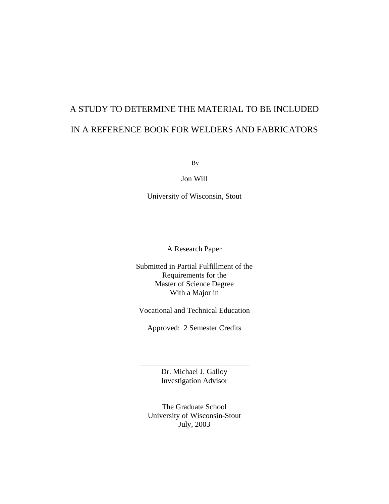# A STUDY TO DETERMINE THE MATERIAL TO BE INCLUDED IN A REFERENCE BOOK FOR WELDERS AND FABRICATORS

By

Jon Will

University of Wisconsin, Stout

A Research Paper

Submitted in Partial Fulfillment of the Requirements for the Master of Science Degree With a Major in

Vocational and Technical Education

Approved: 2 Semester Credits

Dr. Michael J. Galloy Investigation Advisor

\_\_\_\_\_\_\_\_\_\_\_\_\_\_\_\_\_\_\_\_\_\_\_\_\_\_\_\_\_

The Graduate School University of Wisconsin-Stout July, 2003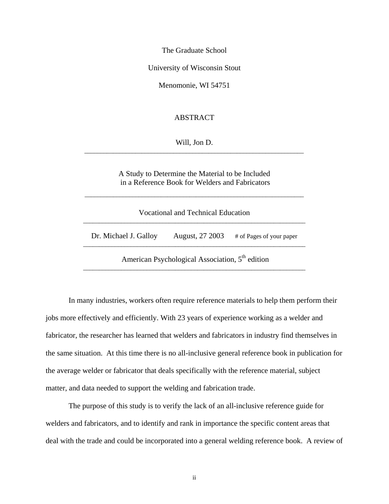The Graduate School

University of Wisconsin Stout

Menomonie, WI 54751

## ABSTRACT

Will, Jon D.

A Study to Determine the Material to be Included in a Reference Book for Welders and Fabricators

\_\_\_\_\_\_\_\_\_\_\_\_\_\_\_\_\_\_\_\_\_\_\_\_\_\_\_\_\_\_\_\_\_\_\_\_\_\_\_\_\_\_\_\_\_\_\_\_\_\_\_\_\_\_\_\_\_\_\_\_\_\_\_\_\_\_\_\_\_

| Vocational and Technical Education |                                                             |                          |  |  |
|------------------------------------|-------------------------------------------------------------|--------------------------|--|--|
| Dr. Michael J. Galloy              | August, 27 2003                                             | # of Pages of your paper |  |  |
|                                    | American Psychological Association, 5 <sup>th</sup> edition |                          |  |  |

In many industries, workers often require reference materials to help them perform their jobs more effectively and efficiently. With 23 years of experience working as a welder and fabricator, the researcher has learned that welders and fabricators in industry find themselves in the same situation. At this time there is no all-inclusive general reference book in publication for the average welder or fabricator that deals specifically with the reference material, subject matter, and data needed to support the welding and fabrication trade.

The purpose of this study is to verify the lack of an all-inclusive reference guide for welders and fabricators, and to identify and rank in importance the specific content areas that deal with the trade and could be incorporated into a general welding reference book. A review of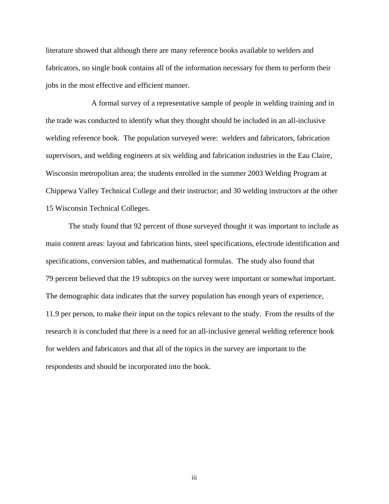literature showed that although there are many reference books available to welders and fabricators, no single book contains all of the information necessary for them to perform their jobs in the most effective and efficient manner.

A formal survey of a representative sample of people in welding training and in the trade was conducted to identify what they thought should be included in an all-inclusive welding reference book. The population surveyed were: welders and fabricators, fabrication supervisors, and welding engineers at six welding and fabrication industries in the Eau Claire, Wisconsin metropolitan area; the students enrolled in the summer 2003 Welding Program at Chippewa Valley Technical College and their instructor; and 30 welding instructors at the other 15 Wisconsin Technical Colleges.

The study found that 92 percent of those surveyed thought it was important to include as main content areas: layout and fabrication hints, steel specifications, electrode identification and specifications, conversion tables, and mathematical formulas. The study also found that 79 percent believed that the 19 subtopics on the survey were important or somewhat important. The demographic data indicates that the survey population has enough years of experience, 11.9 per person, to make their input on the topics relevant to the study. From the results of the research it is concluded that there is a need for an all-inclusive general welding reference book for welders and fabricators and that all of the topics in the survey are important to the respondents and should be incorporated into the book.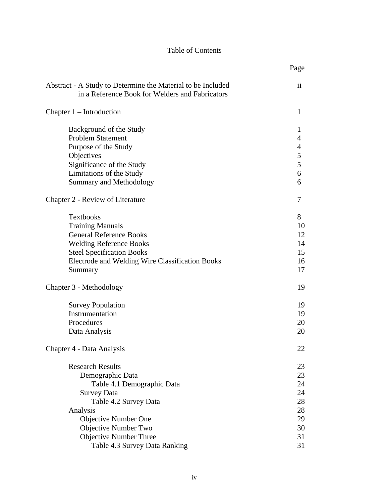## Table of Contents

|                                                                                                                                                                                                                   | Page                                         |
|-------------------------------------------------------------------------------------------------------------------------------------------------------------------------------------------------------------------|----------------------------------------------|
| Abstract - A Study to Determine the Material to be Included<br>in a Reference Book for Welders and Fabricators                                                                                                    | $\mathbf{ii}$                                |
| Chapter $1$ – Introduction                                                                                                                                                                                        | $\mathbf{1}$                                 |
| Background of the Study<br><b>Problem Statement</b><br>Purpose of the Study<br>Objectives<br>Significance of the Study<br>Limitations of the Study<br><b>Summary and Methodology</b>                              | 1<br>4<br>$\overline{4}$<br>5<br>5<br>6<br>6 |
| Chapter 2 - Review of Literature                                                                                                                                                                                  | 7                                            |
| <b>Textbooks</b><br><b>Training Manuals</b><br><b>General Reference Books</b><br><b>Welding Reference Books</b><br><b>Steel Specification Books</b><br>Electrode and Welding Wire Classification Books<br>Summary | 8<br>10<br>12<br>14<br>15<br>16<br>17        |
| Chapter 3 - Methodology                                                                                                                                                                                           | 19                                           |
| <b>Survey Population</b><br>Instrumentation<br>Procedures<br>Data Analysis                                                                                                                                        | 19<br>19<br>20<br>20                         |
| Chapter 4 - Data Analysis                                                                                                                                                                                         | 22                                           |
| <b>Research Results</b><br>Demographic Data<br>Table 4.1 Demographic Data<br><b>Survey Data</b><br>Table 4.2 Survey Data                                                                                          | 23<br>23<br>24<br>24<br>28                   |
| Analysis<br>Objective Number One<br>Objective Number Two<br><b>Objective Number Three</b><br>Table 4.3 Survey Data Ranking                                                                                        | 28<br>29<br>30<br>31<br>31                   |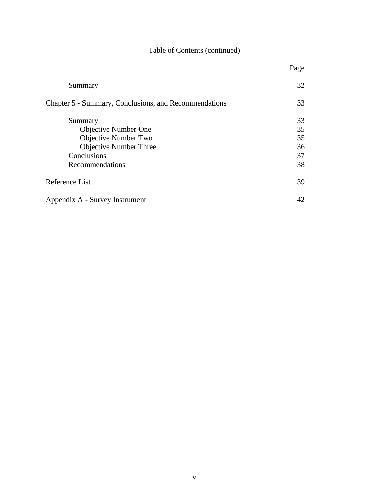# Table of Contents (continued)

|                                                       | Page |
|-------------------------------------------------------|------|
| Summary                                               | 32   |
| Chapter 5 - Summary, Conclusions, and Recommendations | 33   |
| Summary                                               | 33   |
| <b>Objective Number One</b>                           | 35   |
| Objective Number Two                                  | 35   |
| <b>Objective Number Three</b>                         | 36   |
| Conclusions                                           | 37   |
| Recommendations                                       | 38   |
| Reference List                                        | 39   |
| Appendix A - Survey Instrument                        | 42   |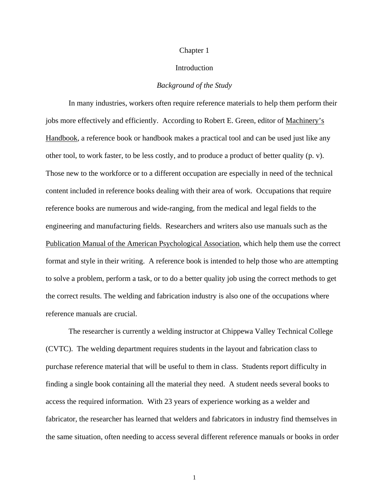#### Chapter 1

### Introduction

#### *Background of the Study*

In many industries, workers often require reference materials to help them perform their jobs more effectively and efficiently. According to Robert E. Green, editor of Machinery's Handbook, a reference book or handbook makes a practical tool and can be used just like any other tool, to work faster, to be less costly, and to produce a product of better quality (p. v). Those new to the workforce or to a different occupation are especially in need of the technical content included in reference books dealing with their area of work. Occupations that require reference books are numerous and wide-ranging, from the medical and legal fields to the engineering and manufacturing fields. Researchers and writers also use manuals such as the Publication Manual of the American Psychological Association, which help them use the correct format and style in their writing. A reference book is intended to help those who are attempting to solve a problem, perform a task, or to do a better quality job using the correct methods to get the correct results. The welding and fabrication industry is also one of the occupations where reference manuals are crucial.

The researcher is currently a welding instructor at Chippewa Valley Technical College (CVTC). The welding department requires students in the layout and fabrication class to purchase reference material that will be useful to them in class. Students report difficulty in finding a single book containing all the material they need. A student needs several books to access the required information. With 23 years of experience working as a welder and fabricator, the researcher has learned that welders and fabricators in industry find themselves in the same situation, often needing to access several different reference manuals or books in order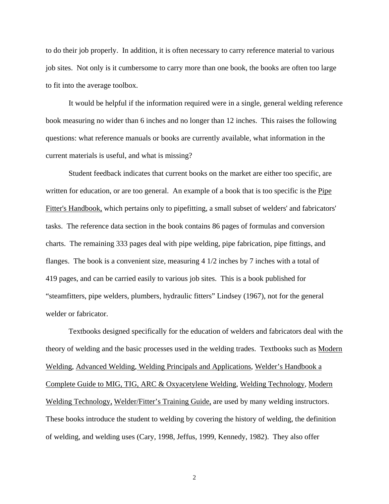to do their job properly. In addition, it is often necessary to carry reference material to various job sites. Not only is it cumbersome to carry more than one book, the books are often too large to fit into the average toolbox.

It would be helpful if the information required were in a single, general welding reference book measuring no wider than 6 inches and no longer than 12 inches. This raises the following questions: what reference manuals or books are currently available, what information in the current materials is useful, and what is missing?

Student feedback indicates that current books on the market are either too specific, are written for education, or are too general. An example of a book that is too specific is the Pipe Fitter's Handbook, which pertains only to pipefitting, a small subset of welders' and fabricators' tasks. The reference data section in the book contains 86 pages of formulas and conversion charts. The remaining 333 pages deal with pipe welding, pipe fabrication, pipe fittings, and flanges. The book is a convenient size, measuring 4 1/2 inches by 7 inches with a total of 419 pages, and can be carried easily to various job sites. This is a book published for "steamfitters, pipe welders, plumbers, hydraulic fitters" Lindsey (1967), not for the general welder or fabricator.

Textbooks designed specifically for the education of welders and fabricators deal with the theory of welding and the basic processes used in the welding trades. Textbooks such as Modern Welding, Advanced Welding, Welding Principals and Applications, Welder's Handbook a Complete Guide to MIG, TIG, ARC & Oxyacetylene Welding, Welding Technology, Modern Welding Technology, Welder/Fitter's Training Guide, are used by many welding instructors. These books introduce the student to welding by covering the history of welding, the definition of welding, and welding uses (Cary, 1998, Jeffus, 1999, Kennedy, 1982). They also offer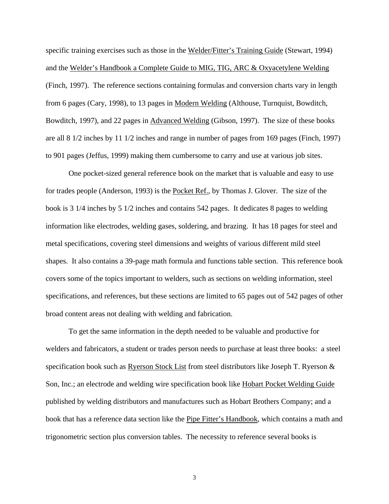specific training exercises such as those in the Welder/Fitter's Training Guide (Stewart, 1994) and the Welder's Handbook a Complete Guide to MIG, TIG, ARC & Oxyacetylene Welding (Finch, 1997). The reference sections containing formulas and conversion charts vary in length from 6 pages (Cary, 1998), to 13 pages in Modern Welding (Althouse, Turnquist, Bowditch, Bowditch, 1997), and 22 pages in Advanced Welding (Gibson, 1997). The size of these books are all 8 1/2 inches by 11 1/2 inches and range in number of pages from 169 pages (Finch, 1997) to 901 pages (Jeffus, 1999) making them cumbersome to carry and use at various job sites.

One pocket-sized general reference book on the market that is valuable and easy to use for trades people (Anderson, 1993) is the Pocket Ref., by Thomas J. Glover. The size of the book is 3 1/4 inches by 5 1/2 inches and contains 542 pages. It dedicates 8 pages to welding information like electrodes, welding gases, soldering, and brazing. It has 18 pages for steel and metal specifications, covering steel dimensions and weights of various different mild steel shapes. It also contains a 39-page math formula and functions table section. This reference book covers some of the topics important to welders, such as sections on welding information, steel specifications, and references, but these sections are limited to 65 pages out of 542 pages of other broad content areas not dealing with welding and fabrication.

To get the same information in the depth needed to be valuable and productive for welders and fabricators, a student or trades person needs to purchase at least three books: a steel specification book such as Ryerson Stock List from steel distributors like Joseph T. Ryerson & Son, Inc.; an electrode and welding wire specification book like Hobart Pocket Welding Guide published by welding distributors and manufactures such as Hobart Brothers Company; and a book that has a reference data section like the Pipe Fitter's Handbook, which contains a math and trigonometric section plus conversion tables. The necessity to reference several books is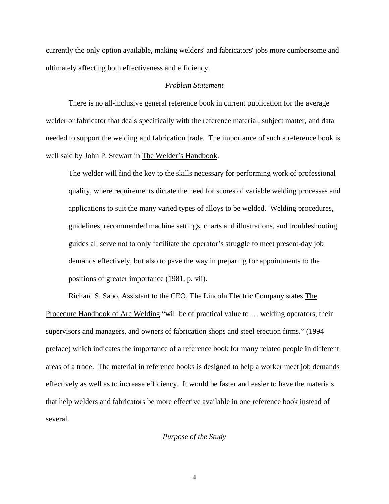currently the only option available, making welders' and fabricators' jobs more cumbersome and ultimately affecting both effectiveness and efficiency.

## *Problem Statement*

There is no all-inclusive general reference book in current publication for the average welder or fabricator that deals specifically with the reference material, subject matter, and data needed to support the welding and fabrication trade. The importance of such a reference book is well said by John P. Stewart in The Welder's Handbook.

The welder will find the key to the skills necessary for performing work of professional quality, where requirements dictate the need for scores of variable welding processes and applications to suit the many varied types of alloys to be welded. Welding procedures, guidelines, recommended machine settings, charts and illustrations, and troubleshooting guides all serve not to only facilitate the operator's struggle to meet present-day job demands effectively, but also to pave the way in preparing for appointments to the positions of greater importance (1981, p. vii).

Richard S. Sabo, Assistant to the CEO, The Lincoln Electric Company states The Procedure Handbook of Arc Welding "will be of practical value to … welding operators, their supervisors and managers, and owners of fabrication shops and steel erection firms." (1994 preface) which indicates the importance of a reference book for many related people in different areas of a trade. The material in reference books is designed to help a worker meet job demands effectively as well as to increase efficiency. It would be faster and easier to have the materials that help welders and fabricators be more effective available in one reference book instead of several.

#### *Purpose of the Study*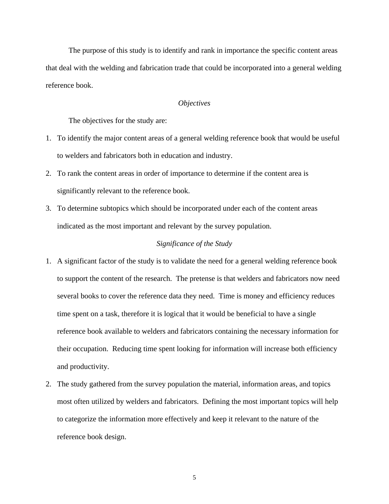The purpose of this study is to identify and rank in importance the specific content areas that deal with the welding and fabrication trade that could be incorporated into a general welding reference book.

## *Objectives*

The objectives for the study are:

- 1. To identify the major content areas of a general welding reference book that would be useful to welders and fabricators both in education and industry.
- 2. To rank the content areas in order of importance to determine if the content area is significantly relevant to the reference book.
- 3. To determine subtopics which should be incorporated under each of the content areas indicated as the most important and relevant by the survey population.

## *Significance of the Study*

- 1. A significant factor of the study is to validate the need for a general welding reference book to support the content of the research. The pretense is that welders and fabricators now need several books to cover the reference data they need. Time is money and efficiency reduces time spent on a task, therefore it is logical that it would be beneficial to have a single reference book available to welders and fabricators containing the necessary information for their occupation. Reducing time spent looking for information will increase both efficiency and productivity.
- 2. The study gathered from the survey population the material, information areas, and topics most often utilized by welders and fabricators. Defining the most important topics will help to categorize the information more effectively and keep it relevant to the nature of the reference book design.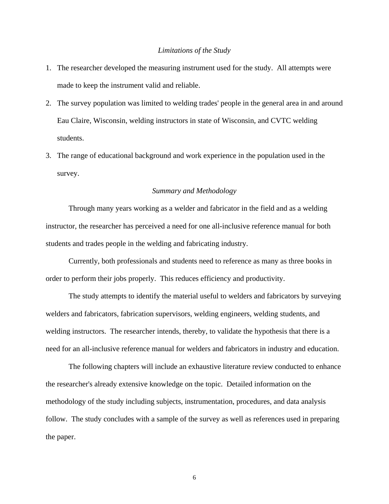## *Limitations of the Study*

- 1. The researcher developed the measuring instrument used for the study. All attempts were made to keep the instrument valid and reliable.
- 2. The survey population was limited to welding trades' people in the general area in and around Eau Claire, Wisconsin, welding instructors in state of Wisconsin, and CVTC welding students.
- 3. The range of educational background and work experience in the population used in the survey.

## *Summary and Methodology*

Through many years working as a welder and fabricator in the field and as a welding instructor, the researcher has perceived a need for one all-inclusive reference manual for both students and trades people in the welding and fabricating industry.

Currently, both professionals and students need to reference as many as three books in order to perform their jobs properly. This reduces efficiency and productivity.

The study attempts to identify the material useful to welders and fabricators by surveying welders and fabricators, fabrication supervisors, welding engineers, welding students, and welding instructors. The researcher intends, thereby, to validate the hypothesis that there is a need for an all-inclusive reference manual for welders and fabricators in industry and education.

The following chapters will include an exhaustive literature review conducted to enhance the researcher's already extensive knowledge on the topic. Detailed information on the methodology of the study including subjects, instrumentation, procedures, and data analysis follow. The study concludes with a sample of the survey as well as references used in preparing the paper.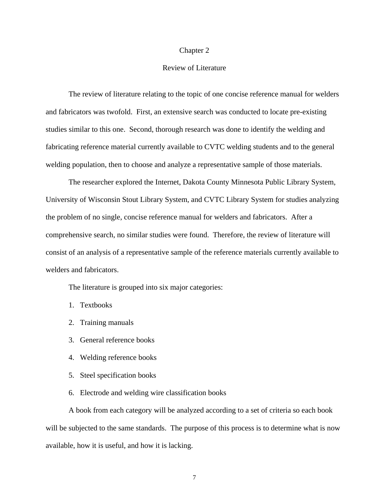#### Chapter 2

## Review of Literature

The review of literature relating to the topic of one concise reference manual for welders and fabricators was twofold. First, an extensive search was conducted to locate pre-existing studies similar to this one. Second, thorough research was done to identify the welding and fabricating reference material currently available to CVTC welding students and to the general welding population, then to choose and analyze a representative sample of those materials.

The researcher explored the Internet, Dakota County Minnesota Public Library System, University of Wisconsin Stout Library System, and CVTC Library System for studies analyzing the problem of no single, concise reference manual for welders and fabricators. After a comprehensive search, no similar studies were found. Therefore, the review of literature will consist of an analysis of a representative sample of the reference materials currently available to welders and fabricators.

The literature is grouped into six major categories:

- 1. Textbooks
- 2. Training manuals
- 3. General reference books
- 4. Welding reference books
- 5. Steel specification books
- 6. Electrode and welding wire classification books

A book from each category will be analyzed according to a set of criteria so each book will be subjected to the same standards. The purpose of this process is to determine what is now available, how it is useful, and how it is lacking.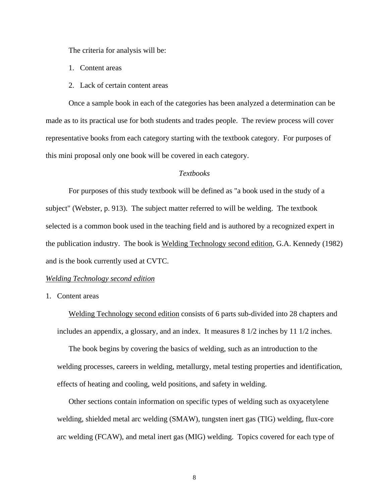The criteria for analysis will be:

- 1. Content areas
- 2. Lack of certain content areas

Once a sample book in each of the categories has been analyzed a determination can be made as to its practical use for both students and trades people. The review process will cover representative books from each category starting with the textbook category. For purposes of this mini proposal only one book will be covered in each category.

## *Textbooks*

For purposes of this study textbook will be defined as "a book used in the study of a subject" (Webster, p. 913). The subject matter referred to will be welding. The textbook selected is a common book used in the teaching field and is authored by a recognized expert in the publication industry. The book is Welding Technology second edition, G.A. Kennedy (1982) and is the book currently used at CVTC.

#### *Welding Technology second edition*

1. Content areas

Welding Technology second edition consists of 6 parts sub-divided into 28 chapters and includes an appendix, a glossary, and an index. It measures  $8\frac{1}{2}$  inches by 11  $\frac{1}{2}$  inches.

The book begins by covering the basics of welding, such as an introduction to the welding processes, careers in welding, metallurgy, metal testing properties and identification, effects of heating and cooling, weld positions, and safety in welding.

Other sections contain information on specific types of welding such as oxyacetylene welding, shielded metal arc welding (SMAW), tungsten inert gas (TIG) welding, flux-core arc welding (FCAW), and metal inert gas (MIG) welding. Topics covered for each type of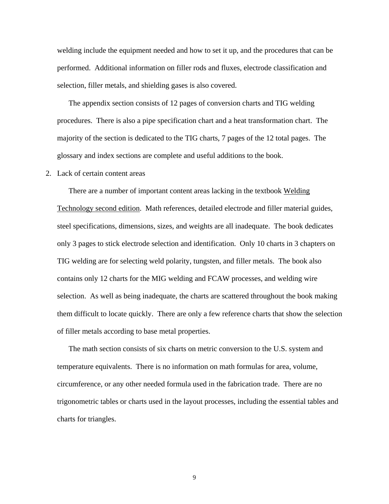welding include the equipment needed and how to set it up, and the procedures that can be performed. Additional information on filler rods and fluxes, electrode classification and selection, filler metals, and shielding gases is also covered.

The appendix section consists of 12 pages of conversion charts and TIG welding procedures. There is also a pipe specification chart and a heat transformation chart. The majority of the section is dedicated to the TIG charts, 7 pages of the 12 total pages. The glossary and index sections are complete and useful additions to the book.

#### 2. Lack of certain content areas

There are a number of important content areas lacking in the textbook Welding Technology second edition. Math references, detailed electrode and filler material guides, steel specifications, dimensions, sizes, and weights are all inadequate. The book dedicates only 3 pages to stick electrode selection and identification. Only 10 charts in 3 chapters on TIG welding are for selecting weld polarity, tungsten, and filler metals. The book also contains only 12 charts for the MIG welding and FCAW processes, and welding wire selection. As well as being inadequate, the charts are scattered throughout the book making them difficult to locate quickly. There are only a few reference charts that show the selection of filler metals according to base metal properties.

The math section consists of six charts on metric conversion to the U.S. system and temperature equivalents. There is no information on math formulas for area, volume, circumference, or any other needed formula used in the fabrication trade. There are no trigonometric tables or charts used in the layout processes, including the essential tables and charts for triangles.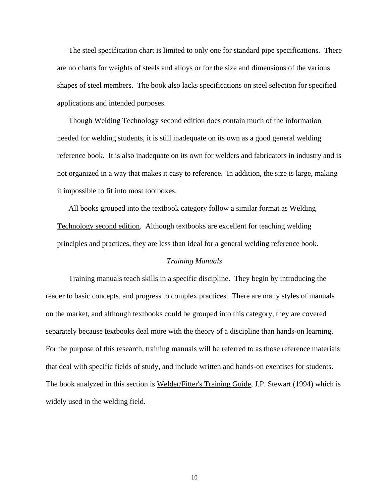The steel specification chart is limited to only one for standard pipe specifications. There are no charts for weights of steels and alloys or for the size and dimensions of the various shapes of steel members. The book also lacks specifications on steel selection for specified applications and intended purposes.

Though Welding Technology second edition does contain much of the information needed for welding students, it is still inadequate on its own as a good general welding reference book. It is also inadequate on its own for welders and fabricators in industry and is not organized in a way that makes it easy to reference. In addition, the size is large, making it impossible to fit into most toolboxes.

All books grouped into the textbook category follow a similar format as Welding Technology second edition. Although textbooks are excellent for teaching welding principles and practices, they are less than ideal for a general welding reference book.

## *Training Manuals*

Training manuals teach skills in a specific discipline. They begin by introducing the reader to basic concepts, and progress to complex practices. There are many styles of manuals on the market, and although textbooks could be grouped into this category, they are covered separately because textbooks deal more with the theory of a discipline than hands-on learning. For the purpose of this research, training manuals will be referred to as those reference materials that deal with specific fields of study, and include written and hands-on exercises for students. The book analyzed in this section is Welder/Fitter's Training Guide, J.P. Stewart (1994) which is widely used in the welding field.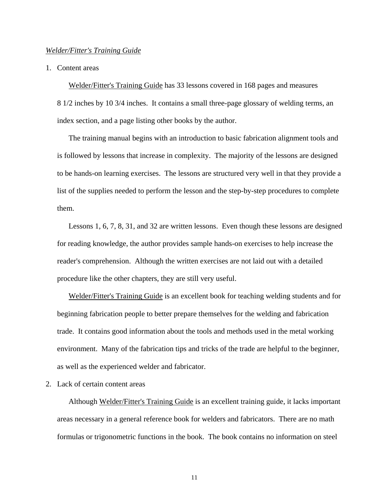#### *Welder/Fitter's Training Guide*

1. Content areas

Welder/Fitter's Training Guide has 33 lessons covered in 168 pages and measures 8 1/2 inches by 10 3/4 inches. It contains a small three-page glossary of welding terms, an index section, and a page listing other books by the author.

The training manual begins with an introduction to basic fabrication alignment tools and is followed by lessons that increase in complexity. The majority of the lessons are designed to be hands-on learning exercises. The lessons are structured very well in that they provide a list of the supplies needed to perform the lesson and the step-by-step procedures to complete them.

Lessons 1, 6, 7, 8, 31, and 32 are written lessons. Even though these lessons are designed for reading knowledge, the author provides sample hands-on exercises to help increase the reader's comprehension. Although the written exercises are not laid out with a detailed procedure like the other chapters, they are still very useful.

Welder/Fitter's Training Guide is an excellent book for teaching welding students and for beginning fabrication people to better prepare themselves for the welding and fabrication trade. It contains good information about the tools and methods used in the metal working environment. Many of the fabrication tips and tricks of the trade are helpful to the beginner, as well as the experienced welder and fabricator.

2. Lack of certain content areas

Although Welder/Fitter's Training Guide is an excellent training guide, it lacks important areas necessary in a general reference book for welders and fabricators. There are no math formulas or trigonometric functions in the book. The book contains no information on steel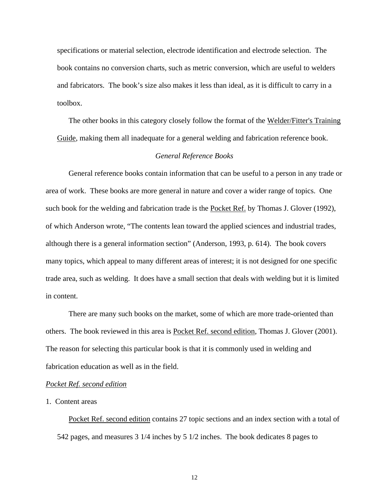specifications or material selection, electrode identification and electrode selection. The book contains no conversion charts, such as metric conversion, which are useful to welders and fabricators. The book's size also makes it less than ideal, as it is difficult to carry in a toolbox.

The other books in this category closely follow the format of the Welder/Fitter's Training Guide, making them all inadequate for a general welding and fabrication reference book.

## *General Reference Books*

General reference books contain information that can be useful to a person in any trade or area of work. These books are more general in nature and cover a wider range of topics. One such book for the welding and fabrication trade is the Pocket Ref. by Thomas J. Glover (1992), of which Anderson wrote, "The contents lean toward the applied sciences and industrial trades, although there is a general information section" (Anderson, 1993, p. 614). The book covers many topics, which appeal to many different areas of interest; it is not designed for one specific trade area, such as welding. It does have a small section that deals with welding but it is limited in content.

There are many such books on the market, some of which are more trade-oriented than others. The book reviewed in this area is Pocket Ref. second edition, Thomas J. Glover (2001). The reason for selecting this particular book is that it is commonly used in welding and fabrication education as well as in the field.

#### *Pocket Ref. second edition*

#### 1. Content areas

Pocket Ref. second edition contains 27 topic sections and an index section with a total of 542 pages, and measures 3 1/4 inches by 5 1/2 inches. The book dedicates 8 pages to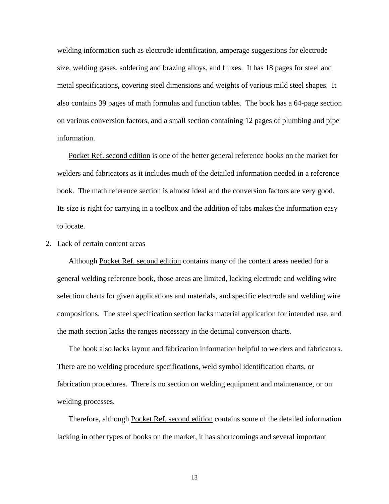welding information such as electrode identification, amperage suggestions for electrode size, welding gases, soldering and brazing alloys, and fluxes. It has 18 pages for steel and metal specifications, covering steel dimensions and weights of various mild steel shapes. It also contains 39 pages of math formulas and function tables. The book has a 64-page section on various conversion factors, and a small section containing 12 pages of plumbing and pipe information.

Pocket Ref. second edition is one of the better general reference books on the market for welders and fabricators as it includes much of the detailed information needed in a reference book. The math reference section is almost ideal and the conversion factors are very good. Its size is right for carrying in a toolbox and the addition of tabs makes the information easy to locate.

2. Lack of certain content areas

Although Pocket Ref. second edition contains many of the content areas needed for a general welding reference book, those areas are limited, lacking electrode and welding wire selection charts for given applications and materials, and specific electrode and welding wire compositions. The steel specification section lacks material application for intended use, and the math section lacks the ranges necessary in the decimal conversion charts.

The book also lacks layout and fabrication information helpful to welders and fabricators. There are no welding procedure specifications, weld symbol identification charts, or fabrication procedures. There is no section on welding equipment and maintenance, or on welding processes.

Therefore, although Pocket Ref. second edition contains some of the detailed information lacking in other types of books on the market, it has shortcomings and several important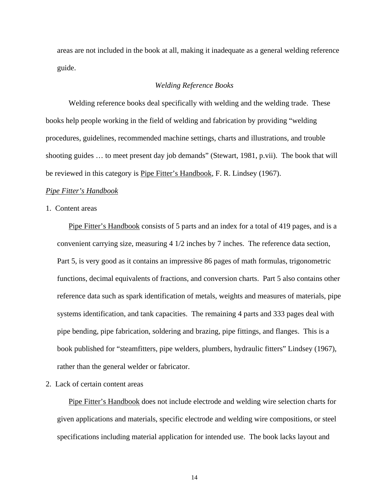areas are not included in the book at all, making it inadequate as a general welding reference guide.

## *Welding Reference Books*

Welding reference books deal specifically with welding and the welding trade. These books help people working in the field of welding and fabrication by providing "welding procedures, guidelines, recommended machine settings, charts and illustrations, and trouble shooting guides … to meet present day job demands" (Stewart, 1981, p.vii). The book that will be reviewed in this category is Pipe Fitter's Handbook, F. R. Lindsey (1967).

#### *Pipe Fitter's Handbook*

## 1. Content areas

Pipe Fitter's Handbook consists of 5 parts and an index for a total of 419 pages, and is a convenient carrying size, measuring 4 1/2 inches by 7 inches. The reference data section, Part 5, is very good as it contains an impressive 86 pages of math formulas, trigonometric functions, decimal equivalents of fractions, and conversion charts. Part 5 also contains other reference data such as spark identification of metals, weights and measures of materials, pipe systems identification, and tank capacities. The remaining 4 parts and 333 pages deal with pipe bending, pipe fabrication, soldering and brazing, pipe fittings, and flanges. This is a book published for "steamfitters, pipe welders, plumbers, hydraulic fitters" Lindsey (1967), rather than the general welder or fabricator.

2. Lack of certain content areas

Pipe Fitter's Handbook does not include electrode and welding wire selection charts for given applications and materials, specific electrode and welding wire compositions, or steel specifications including material application for intended use. The book lacks layout and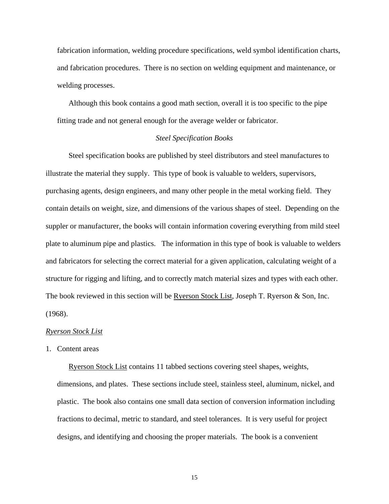fabrication information, welding procedure specifications, weld symbol identification charts, and fabrication procedures. There is no section on welding equipment and maintenance, or welding processes.

Although this book contains a good math section, overall it is too specific to the pipe fitting trade and not general enough for the average welder or fabricator.

## *Steel Specification Books*

Steel specification books are published by steel distributors and steel manufactures to illustrate the material they supply. This type of book is valuable to welders, supervisors, purchasing agents, design engineers, and many other people in the metal working field. They contain details on weight, size, and dimensions of the various shapes of steel. Depending on the suppler or manufacturer, the books will contain information covering everything from mild steel plate to aluminum pipe and plastics. The information in this type of book is valuable to welders and fabricators for selecting the correct material for a given application, calculating weight of a structure for rigging and lifting, and to correctly match material sizes and types with each other. The book reviewed in this section will be Ryerson Stock List, Joseph T. Ryerson & Son, Inc. (1968).

### *Ryerson Stock List*

1. Content areas

Ryerson Stock List contains 11 tabbed sections covering steel shapes, weights, dimensions, and plates. These sections include steel, stainless steel, aluminum, nickel, and plastic. The book also contains one small data section of conversion information including fractions to decimal, metric to standard, and steel tolerances. It is very useful for project designs, and identifying and choosing the proper materials. The book is a convenient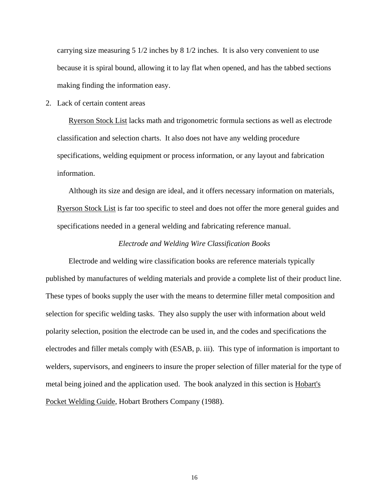carrying size measuring 5 1/2 inches by 8 1/2 inches. It is also very convenient to use because it is spiral bound, allowing it to lay flat when opened, and has the tabbed sections making finding the information easy.

2. Lack of certain content areas

Ryerson Stock List lacks math and trigonometric formula sections as well as electrode classification and selection charts. It also does not have any welding procedure specifications, welding equipment or process information, or any layout and fabrication information.

Although its size and design are ideal, and it offers necessary information on materials, Ryerson Stock List is far too specific to steel and does not offer the more general guides and specifications needed in a general welding and fabricating reference manual.

## *Electrode and Welding Wire Classification Books*

Electrode and welding wire classification books are reference materials typically published by manufactures of welding materials and provide a complete list of their product line. These types of books supply the user with the means to determine filler metal composition and selection for specific welding tasks. They also supply the user with information about weld polarity selection, position the electrode can be used in, and the codes and specifications the electrodes and filler metals comply with (ESAB, p. iii). This type of information is important to welders, supervisors, and engineers to insure the proper selection of filler material for the type of metal being joined and the application used. The book analyzed in this section is Hobart's Pocket Welding Guide, Hobart Brothers Company (1988).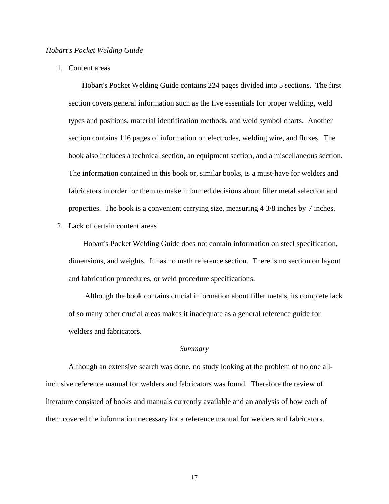## *Hobart's Pocket Welding Guide*

1. Content areas

 Hobart's Pocket Welding Guide contains 224 pages divided into 5 sections. The first section covers general information such as the five essentials for proper welding, weld types and positions, material identification methods, and weld symbol charts. Another section contains 116 pages of information on electrodes, welding wire, and fluxes. The book also includes a technical section, an equipment section, and a miscellaneous section. The information contained in this book or, similar books, is a must-have for welders and fabricators in order for them to make informed decisions about filler metal selection and properties. The book is a convenient carrying size, measuring 4 3/8 inches by 7 inches.

2. Lack of certain content areas

Hobart's Pocket Welding Guide does not contain information on steel specification, dimensions, and weights. It has no math reference section. There is no section on layout and fabrication procedures, or weld procedure specifications.

 Although the book contains crucial information about filler metals, its complete lack of so many other crucial areas makes it inadequate as a general reference guide for welders and fabricators.

#### *Summary*

Although an extensive search was done, no study looking at the problem of no one allinclusive reference manual for welders and fabricators was found. Therefore the review of literature consisted of books and manuals currently available and an analysis of how each of them covered the information necessary for a reference manual for welders and fabricators.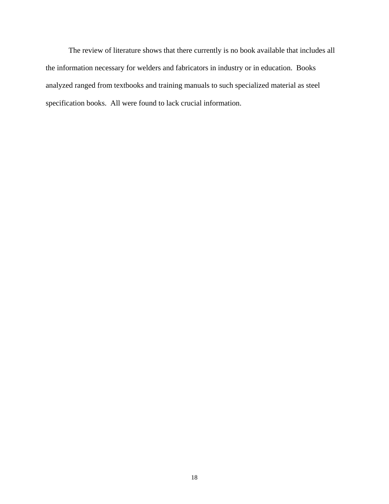The review of literature shows that there currently is no book available that includes all the information necessary for welders and fabricators in industry or in education. Books analyzed ranged from textbooks and training manuals to such specialized material as steel specification books. All were found to lack crucial information.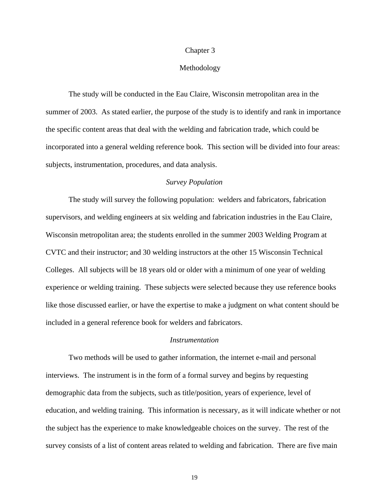#### Chapter 3

## Methodology

The study will be conducted in the Eau Claire, Wisconsin metropolitan area in the summer of 2003. As stated earlier, the purpose of the study is to identify and rank in importance the specific content areas that deal with the welding and fabrication trade, which could be incorporated into a general welding reference book. This section will be divided into four areas: subjects, instrumentation, procedures, and data analysis.

## *Survey Population*

The study will survey the following population: welders and fabricators, fabrication supervisors, and welding engineers at six welding and fabrication industries in the Eau Claire, Wisconsin metropolitan area; the students enrolled in the summer 2003 Welding Program at CVTC and their instructor; and 30 welding instructors at the other 15 Wisconsin Technical Colleges. All subjects will be 18 years old or older with a minimum of one year of welding experience or welding training. These subjects were selected because they use reference books like those discussed earlier, or have the expertise to make a judgment on what content should be included in a general reference book for welders and fabricators.

## *Instrumentation*

Two methods will be used to gather information, the internet e-mail and personal interviews. The instrument is in the form of a formal survey and begins by requesting demographic data from the subjects, such as title/position, years of experience, level of education, and welding training. This information is necessary, as it will indicate whether or not the subject has the experience to make knowledgeable choices on the survey. The rest of the survey consists of a list of content areas related to welding and fabrication. There are five main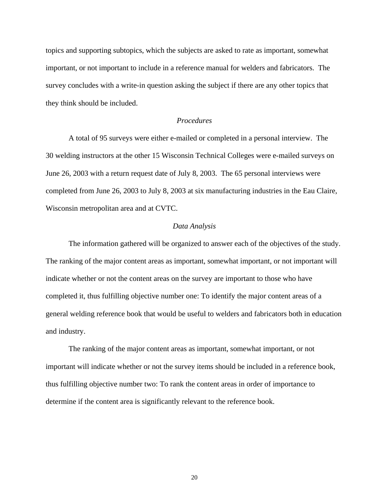topics and supporting subtopics, which the subjects are asked to rate as important, somewhat important, or not important to include in a reference manual for welders and fabricators. The survey concludes with a write-in question asking the subject if there are any other topics that they think should be included.

## *Procedures*

A total of 95 surveys were either e-mailed or completed in a personal interview. The 30 welding instructors at the other 15 Wisconsin Technical Colleges were e-mailed surveys on June 26, 2003 with a return request date of July 8, 2003. The 65 personal interviews were completed from June 26, 2003 to July 8, 2003 at six manufacturing industries in the Eau Claire, Wisconsin metropolitan area and at CVTC.

#### *Data Analysis*

The information gathered will be organized to answer each of the objectives of the study. The ranking of the major content areas as important, somewhat important, or not important will indicate whether or not the content areas on the survey are important to those who have completed it, thus fulfilling objective number one: To identify the major content areas of a general welding reference book that would be useful to welders and fabricators both in education and industry.

The ranking of the major content areas as important, somewhat important, or not important will indicate whether or not the survey items should be included in a reference book, thus fulfilling objective number two: To rank the content areas in order of importance to determine if the content area is significantly relevant to the reference book.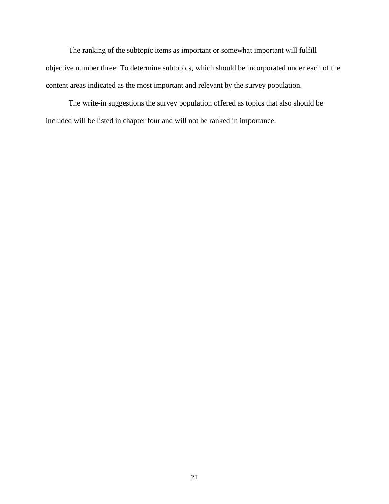The ranking of the subtopic items as important or somewhat important will fulfill objective number three: To determine subtopics, which should be incorporated under each of the content areas indicated as the most important and relevant by the survey population.

The write-in suggestions the survey population offered as topics that also should be included will be listed in chapter four and will not be ranked in importance.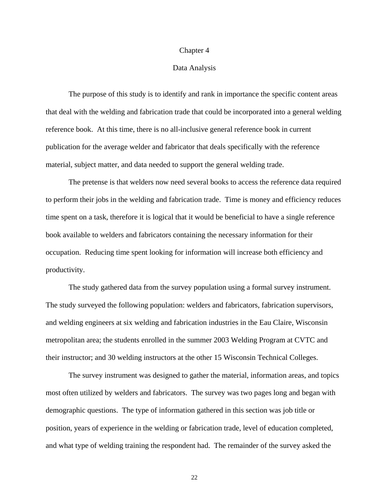#### Chapter 4

#### Data Analysis

The purpose of this study is to identify and rank in importance the specific content areas that deal with the welding and fabrication trade that could be incorporated into a general welding reference book. At this time, there is no all-inclusive general reference book in current publication for the average welder and fabricator that deals specifically with the reference material, subject matter, and data needed to support the general welding trade.

The pretense is that welders now need several books to access the reference data required to perform their jobs in the welding and fabrication trade. Time is money and efficiency reduces time spent on a task, therefore it is logical that it would be beneficial to have a single reference book available to welders and fabricators containing the necessary information for their occupation. Reducing time spent looking for information will increase both efficiency and productivity.

The study gathered data from the survey population using a formal survey instrument. The study surveyed the following population: welders and fabricators, fabrication supervisors, and welding engineers at six welding and fabrication industries in the Eau Claire, Wisconsin metropolitan area; the students enrolled in the summer 2003 Welding Program at CVTC and their instructor; and 30 welding instructors at the other 15 Wisconsin Technical Colleges.

The survey instrument was designed to gather the material, information areas, and topics most often utilized by welders and fabricators. The survey was two pages long and began with demographic questions. The type of information gathered in this section was job title or position, years of experience in the welding or fabrication trade, level of education completed, and what type of welding training the respondent had. The remainder of the survey asked the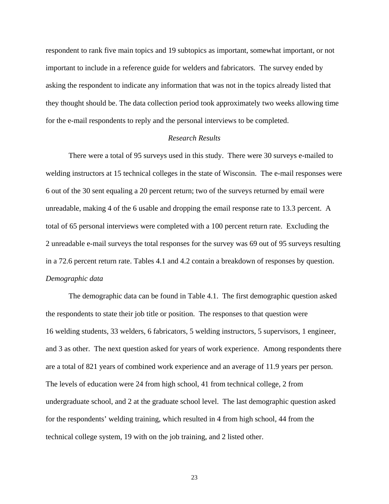respondent to rank five main topics and 19 subtopics as important, somewhat important, or not important to include in a reference guide for welders and fabricators. The survey ended by asking the respondent to indicate any information that was not in the topics already listed that they thought should be. The data collection period took approximately two weeks allowing time for the e-mail respondents to reply and the personal interviews to be completed.

## *Research Results*

There were a total of 95 surveys used in this study. There were 30 surveys e-mailed to welding instructors at 15 technical colleges in the state of Wisconsin. The e-mail responses were 6 out of the 30 sent equaling a 20 percent return; two of the surveys returned by email were unreadable, making 4 of the 6 usable and dropping the email response rate to 13.3 percent. A total of 65 personal interviews were completed with a 100 percent return rate. Excluding the 2 unreadable e-mail surveys the total responses for the survey was 69 out of 95 surveys resulting in a 72.6 percent return rate. Tables 4.1 and 4.2 contain a breakdown of responses by question. *Demographic data*

The demographic data can be found in Table 4.1. The first demographic question asked the respondents to state their job title or position. The responses to that question were 16 welding students, 33 welders, 6 fabricators, 5 welding instructors, 5 supervisors, 1 engineer, and 3 as other. The next question asked for years of work experience. Among respondents there are a total of 821 years of combined work experience and an average of 11.9 years per person. The levels of education were 24 from high school, 41 from technical college, 2 from undergraduate school, and 2 at the graduate school level. The last demographic question asked for the respondents' welding training, which resulted in 4 from high school, 44 from the technical college system, 19 with on the job training, and 2 listed other.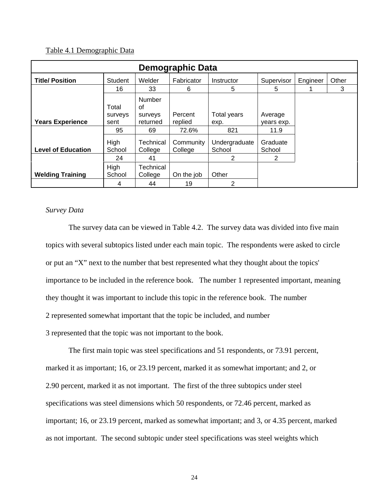## Table 4.1 Demographic Data

| Demographic Data          |                          |                                            |                      |                         |                       |       |   |  |
|---------------------------|--------------------------|--------------------------------------------|----------------------|-------------------------|-----------------------|-------|---|--|
| <b>Title/ Position</b>    | Student                  | Welder                                     | Fabricator           | Instructor              | Engineer              | Other |   |  |
|                           | 16                       | 33                                         | 6                    | 5                       | 5                     |       | 3 |  |
| <b>Years Experience</b>   | Total<br>surveys<br>sent | <b>Number</b><br>of<br>surveys<br>returned | Percent<br>replied   | Total years<br>exp.     | Average<br>years exp. |       |   |  |
|                           | 95                       | 69                                         | 72.6%                | 821                     | 11.9                  |       |   |  |
| <b>Level of Education</b> | <b>High</b><br>School    | Technical<br>College                       | Community<br>College | Undergraduate<br>School | Graduate<br>School    |       |   |  |
|                           | 24                       | 41                                         |                      | 2                       | 2                     |       |   |  |
| <b>Welding Training</b>   | <b>High</b><br>School    | Technical<br>College                       | On the job           | Other                   |                       |       |   |  |
|                           | 4                        | 44                                         | 19                   | 2                       |                       |       |   |  |

## *Survey Data*

The survey data can be viewed in Table 4.2. The survey data was divided into five main topics with several subtopics listed under each main topic. The respondents were asked to circle or put an "X" next to the number that best represented what they thought about the topics' importance to be included in the reference book. The number 1 represented important, meaning they thought it was important to include this topic in the reference book. The number 2 represented somewhat important that the topic be included, and number 3 represented that the topic was not important to the book.

The first main topic was steel specifications and 51 respondents, or 73.91 percent, marked it as important; 16, or 23.19 percent, marked it as somewhat important; and 2, or 2.90 percent, marked it as not important. The first of the three subtopics under steel specifications was steel dimensions which 50 respondents, or 72.46 percent, marked as important; 16, or 23.19 percent, marked as somewhat important; and 3, or 4.35 percent, marked as not important. The second subtopic under steel specifications was steel weights which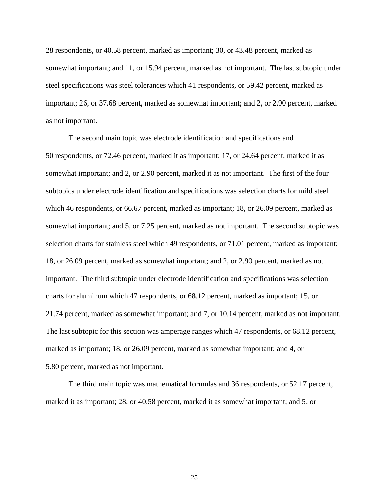28 respondents, or 40.58 percent, marked as important; 30, or 43.48 percent, marked as somewhat important; and 11, or 15.94 percent, marked as not important. The last subtopic under steel specifications was steel tolerances which 41 respondents, or 59.42 percent, marked as important; 26, or 37.68 percent, marked as somewhat important; and 2, or 2.90 percent, marked as not important.

The second main topic was electrode identification and specifications and 50 respondents, or 72.46 percent, marked it as important; 17, or 24.64 percent, marked it as somewhat important; and 2, or 2.90 percent, marked it as not important. The first of the four subtopics under electrode identification and specifications was selection charts for mild steel which 46 respondents, or 66.67 percent, marked as important; 18, or 26.09 percent, marked as somewhat important; and 5, or 7.25 percent, marked as not important. The second subtopic was selection charts for stainless steel which 49 respondents, or 71.01 percent, marked as important; 18, or 26.09 percent, marked as somewhat important; and 2, or 2.90 percent, marked as not important. The third subtopic under electrode identification and specifications was selection charts for aluminum which 47 respondents, or 68.12 percent, marked as important; 15, or 21.74 percent, marked as somewhat important; and 7, or 10.14 percent, marked as not important. The last subtopic for this section was amperage ranges which 47 respondents, or 68.12 percent, marked as important; 18, or 26.09 percent, marked as somewhat important; and 4, or 5.80 percent, marked as not important.

The third main topic was mathematical formulas and 36 respondents, or 52.17 percent, marked it as important; 28, or 40.58 percent, marked it as somewhat important; and 5, or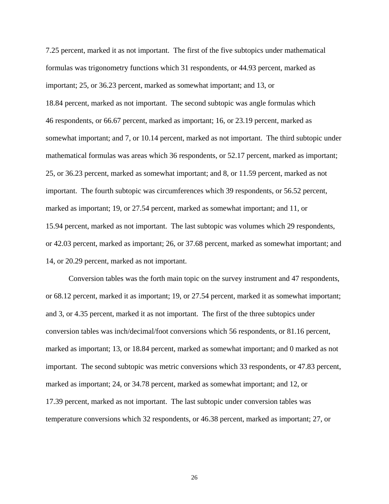7.25 percent, marked it as not important. The first of the five subtopics under mathematical formulas was trigonometry functions which 31 respondents, or 44.93 percent, marked as important; 25, or 36.23 percent, marked as somewhat important; and 13, or 18.84 percent, marked as not important. The second subtopic was angle formulas which 46 respondents, or 66.67 percent, marked as important; 16, or 23.19 percent, marked as somewhat important; and 7, or 10.14 percent, marked as not important. The third subtopic under mathematical formulas was areas which 36 respondents, or 52.17 percent, marked as important; 25, or 36.23 percent, marked as somewhat important; and 8, or 11.59 percent, marked as not important. The fourth subtopic was circumferences which 39 respondents, or 56.52 percent, marked as important; 19, or 27.54 percent, marked as somewhat important; and 11, or 15.94 percent, marked as not important. The last subtopic was volumes which 29 respondents, or 42.03 percent, marked as important; 26, or 37.68 percent, marked as somewhat important; and 14, or 20.29 percent, marked as not important.

Conversion tables was the forth main topic on the survey instrument and 47 respondents, or 68.12 percent, marked it as important; 19, or 27.54 percent, marked it as somewhat important; and 3, or 4.35 percent, marked it as not important. The first of the three subtopics under conversion tables was inch/decimal/foot conversions which 56 respondents, or 81.16 percent, marked as important; 13, or 18.84 percent, marked as somewhat important; and 0 marked as not important. The second subtopic was metric conversions which 33 respondents, or 47.83 percent, marked as important; 24, or 34.78 percent, marked as somewhat important; and 12, or 17.39 percent, marked as not important. The last subtopic under conversion tables was temperature conversions which 32 respondents, or 46.38 percent, marked as important; 27, or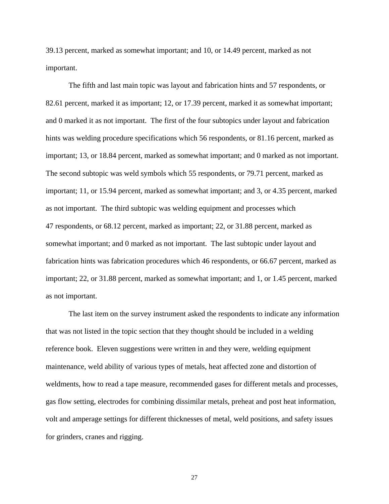39.13 percent, marked as somewhat important; and 10, or 14.49 percent, marked as not important.

The fifth and last main topic was layout and fabrication hints and 57 respondents, or 82.61 percent, marked it as important; 12, or 17.39 percent, marked it as somewhat important; and 0 marked it as not important. The first of the four subtopics under layout and fabrication hints was welding procedure specifications which 56 respondents, or 81.16 percent, marked as important; 13, or 18.84 percent, marked as somewhat important; and 0 marked as not important. The second subtopic was weld symbols which 55 respondents, or 79.71 percent, marked as important; 11, or 15.94 percent, marked as somewhat important; and 3, or 4.35 percent, marked as not important. The third subtopic was welding equipment and processes which 47 respondents, or 68.12 percent, marked as important; 22, or 31.88 percent, marked as somewhat important; and 0 marked as not important. The last subtopic under layout and fabrication hints was fabrication procedures which 46 respondents, or 66.67 percent, marked as important; 22, or 31.88 percent, marked as somewhat important; and 1, or 1.45 percent, marked as not important.

The last item on the survey instrument asked the respondents to indicate any information that was not listed in the topic section that they thought should be included in a welding reference book. Eleven suggestions were written in and they were, welding equipment maintenance, weld ability of various types of metals, heat affected zone and distortion of weldments, how to read a tape measure, recommended gases for different metals and processes, gas flow setting, electrodes for combining dissimilar metals, preheat and post heat information, volt and amperage settings for different thicknesses of metal, weld positions, and safety issues for grinders, cranes and rigging.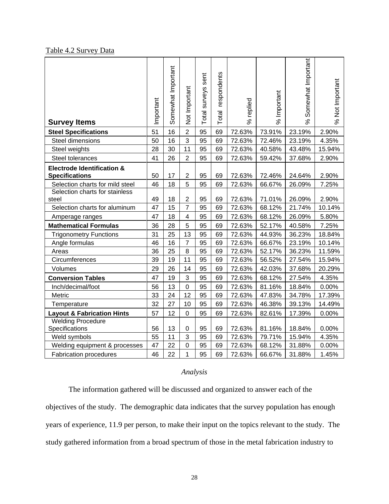## Table 4.2 Survey Data

| <b>Survey Items</b>                                            | Important | Somewhat Important | Not Important  | Total surveys sent | respondents<br>Total | % replied | % Important | Somewhat Important<br>ಸಿ | % Not Important |
|----------------------------------------------------------------|-----------|--------------------|----------------|--------------------|----------------------|-----------|-------------|--------------------------|-----------------|
| <b>Steel Specifications</b>                                    | 51        | 16                 | $\overline{2}$ | 95                 | 69                   | 72.63%    | 73.91%      | 23.19%                   | 2.90%           |
| Steel dimensions                                               | 50        | 16                 | 3              | 95                 | 69                   | 72.63%    | 72.46%      | 23.19%                   | 4.35%           |
| Steel weights                                                  | 28        | 30                 | 11             | 95                 | 69                   | 72.63%    | 40.58%      | 43.48%                   | 15.94%          |
| Steel tolerances                                               | 41        | 26                 | $\overline{2}$ | 95                 | 69                   | 72.63%    | 59.42%      | 37.68%                   | 2.90%           |
| <b>Electrode Identification &amp;</b><br><b>Specifications</b> | 50        | 17                 | $\overline{2}$ | 95                 | 69                   | 72.63%    | 72.46%      | 24.64%                   | 2.90%           |
| Selection charts for mild steel                                | 46        | 18                 | 5              | 95                 | 69                   | 72.63%    | 66.67%      | 26.09%                   | 7.25%           |
| Selection charts for stainless                                 |           |                    |                |                    |                      |           |             |                          |                 |
| steel                                                          | 49        | 18                 | $\overline{2}$ | 95                 | 69                   | 72.63%    | 71.01%      | 26.09%                   | 2.90%           |
| Selection charts for aluminum                                  | 47        | 15                 | $\overline{7}$ | 95                 | 69                   | 72.63%    | 68.12%      | 21.74%                   | 10.14%          |
| Amperage ranges                                                | 47        | 18                 | 4              | 95                 | 69                   | 72.63%    | 68.12%      | 26.09%                   | 5.80%           |
| <b>Mathematical Formulas</b>                                   | 36        | 28                 | 5              | 95                 | 69                   | 72.63%    | 52.17%      | 40.58%                   | 7.25%           |
| <b>Trigonometry Functions</b>                                  | 31        | 25                 | 13             | 95                 | 69                   | 72.63%    | 44.93%      | 36.23%                   | 18.84%          |
| Angle formulas                                                 | 46        | 16                 | $\overline{7}$ | 95                 | 69                   | 72.63%    | 66.67%      | 23.19%                   | 10.14%          |
| Areas                                                          | 36        | 25                 | 8              | 95                 | 69                   | 72.63%    | 52.17%      | 36.23%                   | 11.59%          |
| Circumferences                                                 | 39        | 19                 | 11             | 95                 | 69                   | 72.63%    | 56.52%      | 27.54%                   | 15.94%          |
| Volumes                                                        | 29        | 26                 | 14             | 95                 | 69                   | 72.63%    | 42.03%      | 37.68%                   | 20.29%          |
| <b>Conversion Tables</b>                                       | 47        | 19                 | $\mathfrak{S}$ | 95                 | 69                   | 72.63%    | 68.12%      | 27.54%                   | 4.35%           |
| Inch/decimal/foot                                              | 56        | 13                 | $\pmb{0}$      | 95                 | 69                   | 72.63%    | 81.16%      | 18.84%                   | 0.00%           |
| Metric                                                         | 33        | 24                 | 12             | 95                 | 69                   | 72.63%    | 47.83%      | 34.78%                   | 17.39%          |
| Temperature                                                    | 32        | 27                 | 10             | 95                 | 69                   | 72.63%    | 46.38%      | 39.13%                   | 14.49%          |
| <b>Layout &amp; Fabrication Hints</b>                          | 57        | 12                 | $\mathbf 0$    | 95                 | 69                   | 72.63%    | 82.61%      | 17.39%                   | 0.00%           |
| <b>Welding Procedure</b>                                       |           |                    |                |                    |                      |           |             |                          |                 |
| Specifications                                                 | 56        | 13                 | 0              | 95                 | 69                   | 72.63%    | 81.16%      | 18.84%                   | 0.00%           |
| Weld symbols                                                   | 55        | 11                 | 3              | 95                 | 69                   | 72.63%    | 79.71%      | 15.94%                   | 4.35%           |
| Welding equipment & processes                                  | 47        | 22                 | 0              | 95                 | 69                   | 72.63%    | 68.12%      | 31.88%                   | 0.00%           |
| <b>Fabrication procedures</b>                                  | 46        | 22                 | 1              | 95                 | 69                   | 72.63%    | 66.67%      | 31.88%                   | 1.45%           |

## *Analysis*

The information gathered will be discussed and organized to answer each of the objectives of the study. The demographic data indicates that the survey population has enough years of experience, 11.9 per person, to make their input on the topics relevant to the study. The study gathered information from a broad spectrum of those in the metal fabrication industry to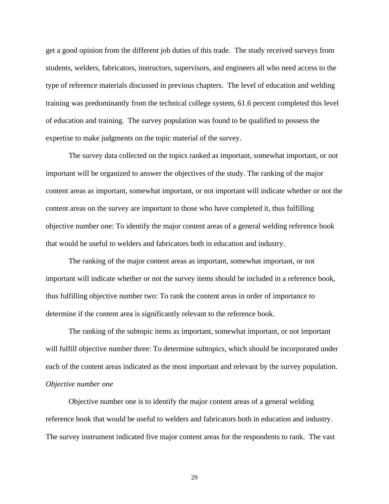get a good opinion from the different job duties of this trade. The study received surveys from students, welders, fabricators, instructors, supervisors, and engineers all who need access to the type of reference materials discussed in previous chapters. The level of education and welding training was predominantly from the technical college system, 61.6 percent completed this level of education and training. The survey population was found to be qualified to possess the expertise to make judgments on the topic material of the survey.

The survey data collected on the topics ranked as important, somewhat important, or not important will be organized to answer the objectives of the study. The ranking of the major content areas as important, somewhat important, or not important will indicate whether or not the content areas on the survey are important to those who have completed it, thus fulfilling objective number one: To identify the major content areas of a general welding reference book that would be useful to welders and fabricators both in education and industry.

The ranking of the major content areas as important, somewhat important, or not important will indicate whether or not the survey items should be included in a reference book, thus fulfilling objective number two: To rank the content areas in order of importance to determine if the content area is significantly relevant to the reference book.

The ranking of the subtopic items as important, somewhat important, or not important will fulfill objective number three: To determine subtopics, which should be incorporated under each of the content areas indicated as the most important and relevant by the survey population. *Objective number one*

Objective number one is to identify the major content areas of a general welding reference book that would be useful to welders and fabricators both in education and industry. The survey instrument indicated five major content areas for the respondents to rank. The vast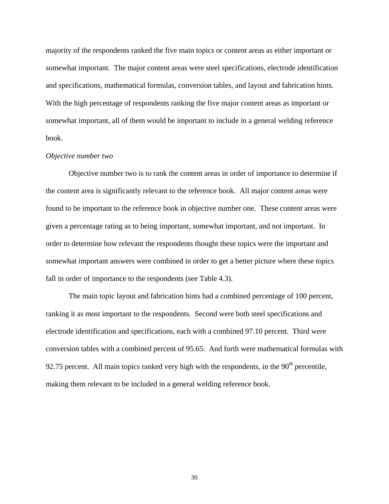majority of the respondents ranked the five main topics or content areas as either important or somewhat important. The major content areas were steel specifications, electrode identification and specifications, mathematical formulas, conversion tables, and layout and fabrication hints. With the high percentage of respondents ranking the five major content areas as important or somewhat important, all of them would be important to include in a general welding reference book.

#### *Objective number two*

Objective number two is to rank the content areas in order of importance to determine if the content area is significantly relevant to the reference book. All major content areas were found to be important to the reference book in objective number one. These content areas were given a percentage rating as to being important, somewhat important, and not important. In order to determine how relevant the respondents thought these topics were the important and somewhat important answers were combined in order to get a better picture where these topics fall in order of importance to the respondents (see Table 4.3).

The main topic layout and fabrication hints had a combined percentage of 100 percent, ranking it as most important to the respondents. Second were both steel specifications and electrode identification and specifications, each with a combined 97.10 percent. Third were conversion tables with a combined percent of 95.65. And forth were mathematical formulas with 92.75 percent. All main topics ranked very high with the respondents, in the  $90<sup>th</sup>$  percentile, making them relevant to be included in a general welding reference book.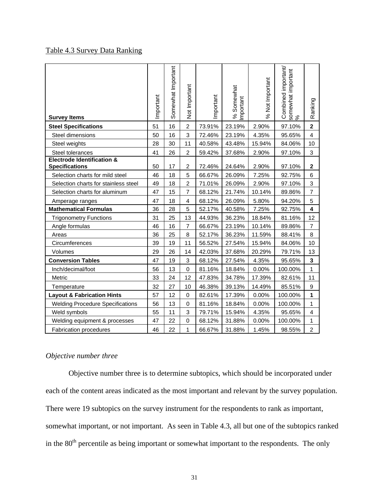## Table 4.3 Survey Data Ranking

| <b>Survey Items</b>                                            | Important | Somewhat Important | Not Important           | Important | % Somewhat<br>mportant | % Not Important | Combined important/<br>somewhat important<br>% | Ranking                 |
|----------------------------------------------------------------|-----------|--------------------|-------------------------|-----------|------------------------|-----------------|------------------------------------------------|-------------------------|
| <b>Steel Specifications</b>                                    | 51        | 16                 | $\overline{c}$          | 73.91%    | 23.19%                 | 2.90%           | 97.10%                                         | $\mathbf{2}$            |
| Steel dimensions                                               | 50        | 16                 | 3                       | 72.46%    | 23.19%                 | 4.35%           | 95.65%                                         | $\overline{\mathbf{4}}$ |
| Steel weights                                                  | 28        | 30                 | 11                      | 40.58%    | 43.48%                 | 15.94%          | 84.06%                                         | 10                      |
| Steel tolerances                                               | 41        | 26                 | $\overline{c}$          | 59.42%    | 37.68%                 | 2.90%           | 97.10%                                         | 3                       |
| <b>Electrode Identification &amp;</b><br><b>Specifications</b> | 50        | 17                 | 2                       | 72.46%    | 24.64%                 | 2.90%           | 97.10%                                         | $\mathbf{2}$            |
| Selection charts for mild steel                                | 46        | 18                 | 5                       | 66.67%    | 26.09%                 | 7.25%           | 92.75%                                         | 6                       |
| Selection charts for stainless steel                           | 49        | 18                 | $\overline{c}$          | 71.01%    | 26.09%                 | 2.90%           | 97.10%                                         | 3                       |
| Selection charts for aluminum                                  | 47        | 15                 | $\overline{7}$          | 68.12%    | 21.74%                 | 10.14%          | 89.86%                                         | $\overline{7}$          |
| Amperage ranges                                                | 47        | 18                 | $\overline{\mathbf{4}}$ | 68.12%    | 26.09%                 | 5.80%           | 94.20%                                         | 5                       |
| <b>Mathematical Formulas</b>                                   | 36        | 28                 | 5                       | 52.17%    | 40.58%                 | 7.25%           | 92.75%                                         | $\overline{\mathbf{4}}$ |
| <b>Trigonometry Functions</b>                                  | 31        | 25                 | 13                      | 44.93%    | 36.23%                 | 18.84%          | 81.16%                                         | 12                      |
| Angle formulas                                                 | 46        | 16                 | $\overline{7}$          | 66.67%    | 23.19%                 | 10.14%          | 89.86%                                         | $\overline{7}$          |
| Areas                                                          | 36        | 25                 | 8                       | 52.17%    | 36.23%                 | 11.59%          | 88.41%                                         | 8                       |
| Circumferences                                                 | 39        | 19                 | 11                      | 56.52%    | 27.54%                 | 15.94%          | 84.06%                                         | 10                      |
| Volumes                                                        | 29        | 26                 | 14                      | 42.03%    | 37.68%                 | 20.29%          | 79.71%                                         | 13                      |
| <b>Conversion Tables</b>                                       | 47        | 19                 | 3                       | 68.12%    | 27.54%                 | 4.35%           | 95.65%                                         | 3                       |
| Inch/decimal/foot                                              | 56        | 13                 | 0                       | 81.16%    | 18.84%                 | 0.00%           | 100.00%                                        | $\mathbf{1}$            |
| <b>Metric</b>                                                  | 33        | 24                 | 12                      | 47.83%    | 34.78%                 | 17.39%          | 82.61%                                         | 11                      |
| Temperature                                                    | 32        | 27                 | 10                      | 46.38%    | 39.13%                 | 14.49%          | 85.51%                                         | 9                       |
| <b>Layout &amp; Fabrication Hints</b>                          | 57        | 12                 | 0                       | 82.61%    | 17.39%                 | 0.00%           | 100.00%                                        | $\mathbf{1}$            |
| <b>Welding Procedure Specifications</b>                        | 56        | 13                 | $\mathbf 0$             | 81.16%    | 18.84%                 | 0.00%           | 100.00%                                        | $\mathbf{1}$            |
| Weld symbols                                                   | 55        | 11                 | 3                       | 79.71%    | 15.94%                 | 4.35%           | 95.65%                                         | $\overline{\mathbf{4}}$ |
| Welding equipment & processes                                  | 47        | 22                 | 0                       | 68.12%    | 31.88%                 | 0.00%           | 100.00%                                        | $\mathbf{1}$            |
| <b>Fabrication procedures</b>                                  | 46        | 22                 | 1                       | 66.67%    | 31.88%                 | 1.45%           | 98.55%                                         | $\overline{2}$          |

## *Objective number three*

Objective number three is to determine subtopics, which should be incorporated under each of the content areas indicated as the most important and relevant by the survey population. There were 19 subtopics on the survey instrument for the respondents to rank as important, somewhat important, or not important. As seen in Table 4.3, all but one of the subtopics ranked in the 80<sup>th</sup> percentile as being important or somewhat important to the respondents. The only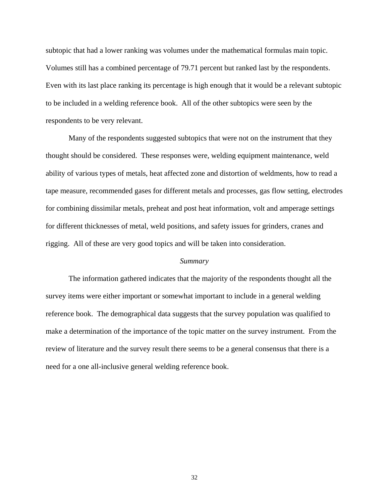subtopic that had a lower ranking was volumes under the mathematical formulas main topic. Volumes still has a combined percentage of 79.71 percent but ranked last by the respondents. Even with its last place ranking its percentage is high enough that it would be a relevant subtopic to be included in a welding reference book. All of the other subtopics were seen by the respondents to be very relevant.

Many of the respondents suggested subtopics that were not on the instrument that they thought should be considered. These responses were, welding equipment maintenance, weld ability of various types of metals, heat affected zone and distortion of weldments, how to read a tape measure, recommended gases for different metals and processes, gas flow setting, electrodes for combining dissimilar metals, preheat and post heat information, volt and amperage settings for different thicknesses of metal, weld positions, and safety issues for grinders, cranes and rigging. All of these are very good topics and will be taken into consideration.

## *Summary*

The information gathered indicates that the majority of the respondents thought all the survey items were either important or somewhat important to include in a general welding reference book. The demographical data suggests that the survey population was qualified to make a determination of the importance of the topic matter on the survey instrument. From the review of literature and the survey result there seems to be a general consensus that there is a need for a one all-inclusive general welding reference book.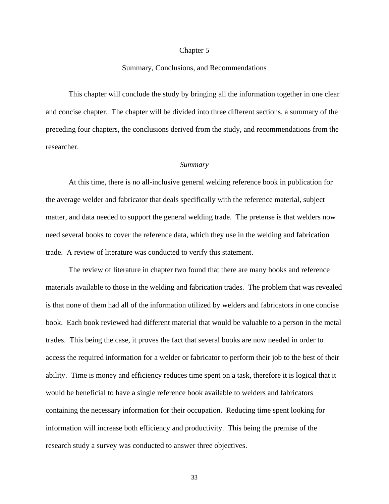#### Chapter 5

## Summary, Conclusions, and Recommendations

This chapter will conclude the study by bringing all the information together in one clear and concise chapter. The chapter will be divided into three different sections, a summary of the preceding four chapters, the conclusions derived from the study, and recommendations from the researcher.

#### *Summary*

At this time, there is no all-inclusive general welding reference book in publication for the average welder and fabricator that deals specifically with the reference material, subject matter, and data needed to support the general welding trade. The pretense is that welders now need several books to cover the reference data, which they use in the welding and fabrication trade. A review of literature was conducted to verify this statement.

The review of literature in chapter two found that there are many books and reference materials available to those in the welding and fabrication trades. The problem that was revealed is that none of them had all of the information utilized by welders and fabricators in one concise book. Each book reviewed had different material that would be valuable to a person in the metal trades. This being the case, it proves the fact that several books are now needed in order to access the required information for a welder or fabricator to perform their job to the best of their ability. Time is money and efficiency reduces time spent on a task, therefore it is logical that it would be beneficial to have a single reference book available to welders and fabricators containing the necessary information for their occupation. Reducing time spent looking for information will increase both efficiency and productivity. This being the premise of the research study a survey was conducted to answer three objectives.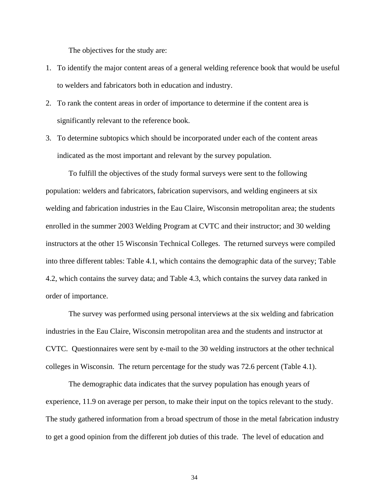The objectives for the study are:

- 1. To identify the major content areas of a general welding reference book that would be useful to welders and fabricators both in education and industry.
- 2. To rank the content areas in order of importance to determine if the content area is significantly relevant to the reference book.
- 3. To determine subtopics which should be incorporated under each of the content areas indicated as the most important and relevant by the survey population.

To fulfill the objectives of the study formal surveys were sent to the following population: welders and fabricators, fabrication supervisors, and welding engineers at six welding and fabrication industries in the Eau Claire, Wisconsin metropolitan area; the students enrolled in the summer 2003 Welding Program at CVTC and their instructor; and 30 welding instructors at the other 15 Wisconsin Technical Colleges. The returned surveys were compiled into three different tables: Table 4.1, which contains the demographic data of the survey; Table 4.2, which contains the survey data; and Table 4.3, which contains the survey data ranked in order of importance.

The survey was performed using personal interviews at the six welding and fabrication industries in the Eau Claire, Wisconsin metropolitan area and the students and instructor at CVTC. Questionnaires were sent by e-mail to the 30 welding instructors at the other technical colleges in Wisconsin. The return percentage for the study was 72.6 percent (Table 4.1).

The demographic data indicates that the survey population has enough years of experience, 11.9 on average per person, to make their input on the topics relevant to the study. The study gathered information from a broad spectrum of those in the metal fabrication industry to get a good opinion from the different job duties of this trade. The level of education and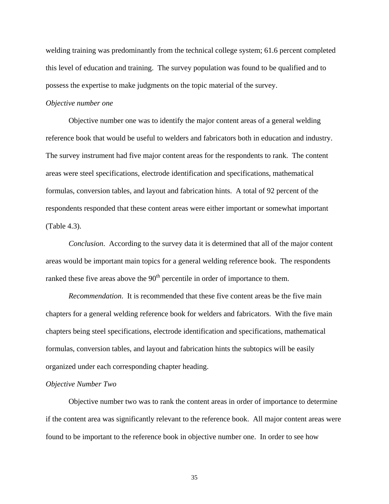welding training was predominantly from the technical college system; 61.6 percent completed this level of education and training. The survey population was found to be qualified and to possess the expertise to make judgments on the topic material of the survey.

## *Objective number one*

Objective number one was to identify the major content areas of a general welding reference book that would be useful to welders and fabricators both in education and industry. The survey instrument had five major content areas for the respondents to rank. The content areas were steel specifications, electrode identification and specifications, mathematical formulas, conversion tables, and layout and fabrication hints. A total of 92 percent of the respondents responded that these content areas were either important or somewhat important (Table 4.3).

*Conclusion*. According to the survey data it is determined that all of the major content areas would be important main topics for a general welding reference book. The respondents ranked these five areas above the  $90<sup>th</sup>$  percentile in order of importance to them.

*Recommendation*. It is recommended that these five content areas be the five main chapters for a general welding reference book for welders and fabricators. With the five main chapters being steel specifications, electrode identification and specifications, mathematical formulas, conversion tables, and layout and fabrication hints the subtopics will be easily organized under each corresponding chapter heading.

## *Objective Number Two*

Objective number two was to rank the content areas in order of importance to determine if the content area was significantly relevant to the reference book. All major content areas were found to be important to the reference book in objective number one. In order to see how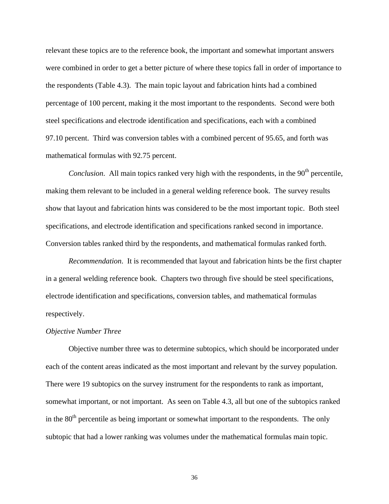relevant these topics are to the reference book, the important and somewhat important answers were combined in order to get a better picture of where these topics fall in order of importance to the respondents (Table 4.3). The main topic layout and fabrication hints had a combined percentage of 100 percent, making it the most important to the respondents. Second were both steel specifications and electrode identification and specifications, each with a combined 97.10 percent. Third was conversion tables with a combined percent of 95.65, and forth was mathematical formulas with 92.75 percent.

*Conclusion*. All main topics ranked very high with the respondents, in the 90<sup>th</sup> percentile. making them relevant to be included in a general welding reference book. The survey results show that layout and fabrication hints was considered to be the most important topic. Both steel specifications, and electrode identification and specifications ranked second in importance. Conversion tables ranked third by the respondents, and mathematical formulas ranked forth.

*Recommendation*. It is recommended that layout and fabrication hints be the first chapter in a general welding reference book. Chapters two through five should be steel specifications, electrode identification and specifications, conversion tables, and mathematical formulas respectively.

#### *Objective Number Three*

Objective number three was to determine subtopics, which should be incorporated under each of the content areas indicated as the most important and relevant by the survey population. There were 19 subtopics on the survey instrument for the respondents to rank as important, somewhat important, or not important. As seen on Table 4.3, all but one of the subtopics ranked in the  $80<sup>th</sup>$  percentile as being important or somewhat important to the respondents. The only subtopic that had a lower ranking was volumes under the mathematical formulas main topic.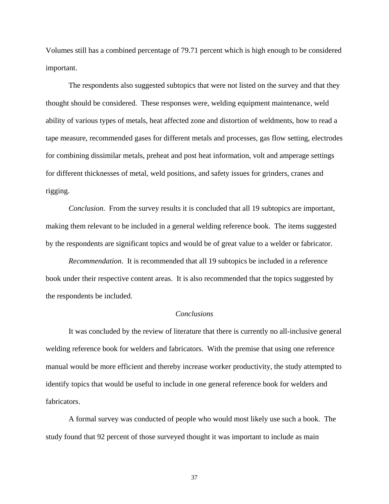Volumes still has a combined percentage of 79.71 percent which is high enough to be considered important.

The respondents also suggested subtopics that were not listed on the survey and that they thought should be considered. These responses were, welding equipment maintenance, weld ability of various types of metals, heat affected zone and distortion of weldments, how to read a tape measure, recommended gases for different metals and processes, gas flow setting, electrodes for combining dissimilar metals, preheat and post heat information, volt and amperage settings for different thicknesses of metal, weld positions, and safety issues for grinders, cranes and rigging.

*Conclusion*. From the survey results it is concluded that all 19 subtopics are important, making them relevant to be included in a general welding reference book. The items suggested by the respondents are significant topics and would be of great value to a welder or fabricator.

*Recommendation*. It is recommended that all 19 subtopics be included in a reference book under their respective content areas. It is also recommended that the topics suggested by the respondents be included.

## *Conclusions*

It was concluded by the review of literature that there is currently no all-inclusive general welding reference book for welders and fabricators. With the premise that using one reference manual would be more efficient and thereby increase worker productivity, the study attempted to identify topics that would be useful to include in one general reference book for welders and fabricators.

A formal survey was conducted of people who would most likely use such a book. The study found that 92 percent of those surveyed thought it was important to include as main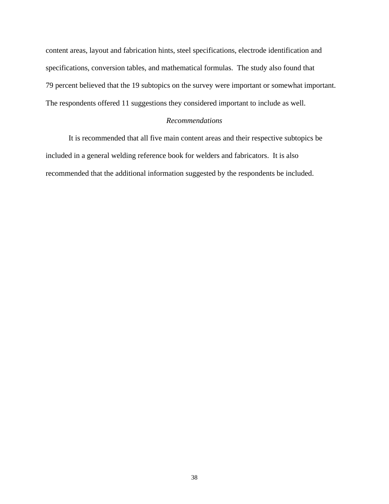content areas, layout and fabrication hints, steel specifications, electrode identification and specifications, conversion tables, and mathematical formulas. The study also found that 79 percent believed that the 19 subtopics on the survey were important or somewhat important. The respondents offered 11 suggestions they considered important to include as well.

## *Recommendations*

It is recommended that all five main content areas and their respective subtopics be included in a general welding reference book for welders and fabricators. It is also recommended that the additional information suggested by the respondents be included.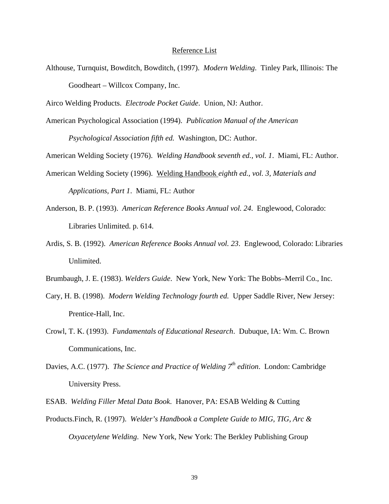## Reference List

Althouse, Turnquist, Bowditch, Bowditch, (1997). *Modern Welding*. Tinley Park, Illinois: The Goodheart – Willcox Company, Inc.

Airco Welding Products. *Electrode Pocket Guide*. Union, NJ: Author.

American Psychological Association (1994). *Publication Manual of the American* 

*Psychological Association fifth ed.* Washington, DC: Author.

American Welding Society (1976). *Welding Handbook seventh ed., vol. 1*. Miami, FL: Author.

- American Welding Society (1996). Welding Handbook *eighth ed., vol. 3, Materials and Applications, Part 1*. Miami, FL: Author
- Anderson, B. P. (1993). *American Reference Books Annual vol. 24*. Englewood, Colorado: Libraries Unlimited. p. 614.
- Ardis, S. B. (1992). *American Reference Books Annual vol. 23*. Englewood, Colorado: Libraries Unlimited.
- Brumbaugh, J. E. (1983). *Welders Guide*. New York, New York: The Bobbs–Merril Co., Inc.
- Cary, H. B. (1998). *Modern Welding Technology fourth ed.* Upper Saddle River, New Jersey: Prentice-Hall, Inc.
- Crowl, T. K. (1993). *Fundamentals of Educational Research*. Dubuque, IA: Wm. C. Brown Communications, Inc.
- Davies, A.C. (1977). *The Science and Practice of Welding* 7<sup>th</sup> edition. London: Cambridge University Press.
- ESAB. *Welding Filler Metal Data Book*. Hanover, PA: ESAB Welding & Cutting
- Products.Finch, R. (1997). *Welder's Handbook a Complete Guide to MIG, TIG, Arc & Oxyacetylene Welding*. New York, New York: The Berkley Publishing Group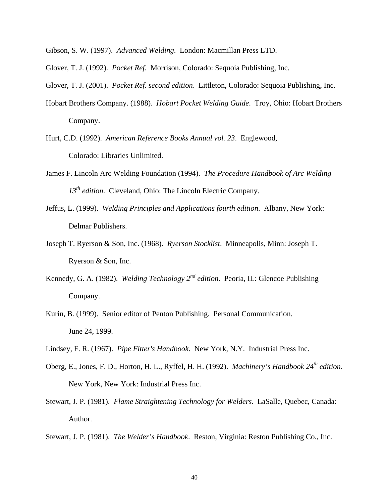- Gibson, S. W. (1997). *Advanced Welding*. London: Macmillan Press LTD.
- Glover, T. J. (1992). *Pocket Ref*. Morrison, Colorado: Sequoia Publishing, Inc.
- Glover, T. J. (2001). *Pocket Ref. second edition*. Littleton, Colorado: Sequoia Publishing, Inc.
- Hobart Brothers Company. (1988). *Hobart Pocket Welding Guide*. Troy, Ohio: Hobart Brothers Company.
- Hurt, C.D. (1992). *American Reference Books Annual vol. 23*. Englewood, Colorado: Libraries Unlimited.
- James F. Lincoln Arc Welding Foundation (1994). *The Procedure Handbook of Arc Welding*  13<sup>th</sup> edition. Cleveland, Ohio: The Lincoln Electric Company.
- Jeffus, L. (1999). *Welding Principles and Applications fourth edition*. Albany, New York: Delmar Publishers.
- Joseph T. Ryerson & Son, Inc. (1968). *Ryerson Stocklist*. Minneapolis, Minn: Joseph T. Ryerson & Son, Inc.
- Kennedy, G. A. (1982). *Welding Technology 2nd edition*. Peoria, IL: Glencoe Publishing Company.
- Kurin, B. (1999). Senior editor of Penton Publishing. Personal Communication. June 24, 1999.
- Lindsey, F. R. (1967). *Pipe Fitter's Handbook*. New York, N.Y. Industrial Press Inc.
- Oberg, E., Jones, F. D., Horton, H. L., Ryffel, H. H. (1992). *Machinery's Handbook 24th edition*. New York, New York: Industrial Press Inc.
- Stewart, J. P. (1981). *Flame Straightening Technology for Welders*. LaSalle, Quebec, Canada: Author.
- Stewart, J. P. (1981). *The Welder's Handbook*. Reston, Virginia: Reston Publishing Co., Inc.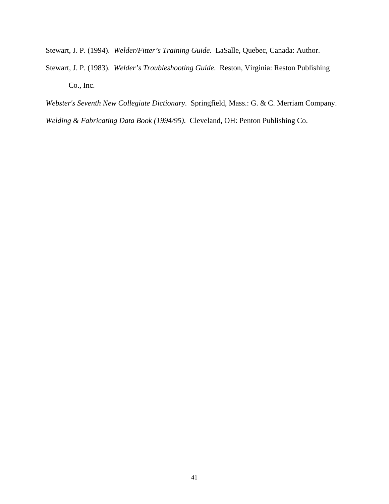Stewart, J. P. (1994). *Welder/Fitter's Training Guide*. LaSalle, Quebec, Canada: Author.

Stewart, J. P. (1983). *Welder's Troubleshooting Guide*. Reston, Virginia: Reston Publishing Co., Inc.

*Webster's Seventh New Collegiate Dictionary*. Springfield, Mass.: G. & C. Merriam Company. *Welding & Fabricating Data Book (1994/95)*. Cleveland, OH: Penton Publishing Co.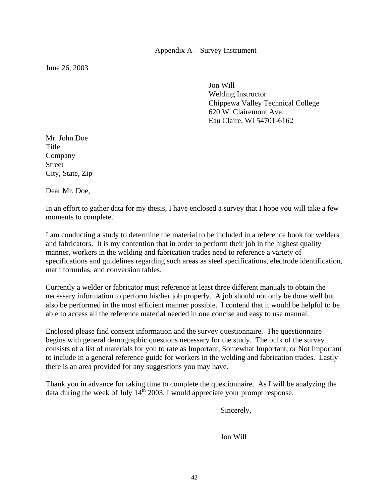June 26, 2003

 Jon Will Welding Instructor Chippewa Valley Technical College 620 W. Clairemont Ave. Eau Claire, WI 54701-6162

Mr. John Doe Title Company Street City, State, Zip

Dear Mr. Doe,

In an effort to gather data for my thesis, I have enclosed a survey that I hope you will take a few moments to complete.

I am conducting a study to determine the material to be included in a reference book for welders and fabricators. It is my contention that in order to perform their job in the highest quality manner, workers in the welding and fabrication trades need to reference a variety of specifications and guidelines regarding such areas as steel specifications, electrode identification, math formulas, and conversion tables.

Currently a welder or fabricator must reference at least three different manuals to obtain the necessary information to perform his/her job properly. A job should not only be done well but also be performed in the most efficient manner possible. I contend that it would be helpful to be able to access all the reference material needed in one concise and easy to use manual.

Enclosed please find consent information and the survey questionnaire. The questionnaire begins with general demographic questions necessary for the study. The bulk of the survey consists of a list of materials for you to rate as Important, Somewhat Important, or Not Important to include in a general reference guide for workers in the welding and fabrication trades. Lastly there is an area provided for any suggestions you may have.

Thank you in advance for taking time to complete the questionnaire. As I will be analyzing the data during the week of July  $14^{\text{th}}$  2003, I would appreciate your prompt response.

Sincerely,

Jon Will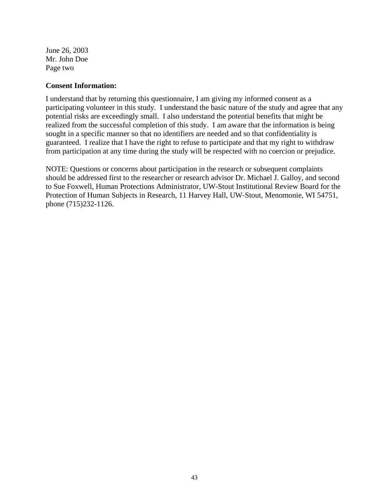June 26, 2003 Mr. John Doe Page two

## **Consent Information:**

I understand that by returning this questionnaire, I am giving my informed consent as a participating volunteer in this study. I understand the basic nature of the study and agree that any potential risks are exceedingly small. I also understand the potential benefits that might be realized from the successful completion of this study. I am aware that the information is being sought in a specific manner so that no identifiers are needed and so that confidentiality is guaranteed. I realize that I have the right to refuse to participate and that my right to withdraw from participation at any time during the study will be respected with no coercion or prejudice.

NOTE: Questions or concerns about participation in the research or subsequent complaints should be addressed first to the researcher or research advisor Dr. Michael J. Galloy, and second to Sue Foxwell, Human Protections Administrator, UW-Stout Institutional Review Board for the Protection of Human Subjects in Research, 11 Harvey Hall, UW-Stout, Menomonie, WI 54751, phone (715)232-1126.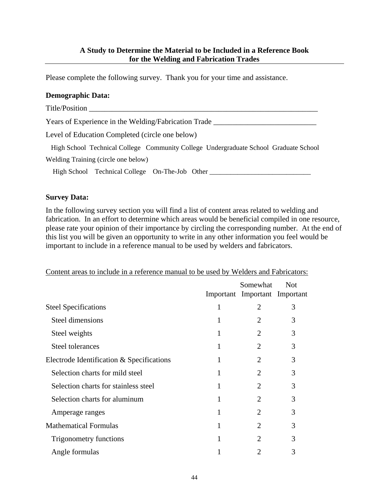## **A Study to Determine the Material to be Included in a Reference Book for the Welding and Fabrication Trades**

Please complete the following survey. Thank you for your time and assistance.

## **Demographic Data:**

| Title/Position                                                                       |
|--------------------------------------------------------------------------------------|
| Years of Experience in the Welding/Fabrication Trade                                 |
| Level of Education Completed (circle one below)                                      |
| High School Technical College Community College Undergraduate School Graduate School |
| Welding Training (circle one below)                                                  |
| High School Technical College On-The-Job Other                                       |

## **Survey Data:**

In the following survey section you will find a list of content areas related to welding and fabrication. In an effort to determine which areas would be beneficial compiled in one resource, please rate your opinion of their importance by circling the corresponding number. At the end of this list you will be given an opportunity to write in any other information you feel would be important to include in a reference manual to be used by welders and fabricators.

|                                           |   | Somewhat<br>Important Important Important | <b>Not</b> |
|-------------------------------------------|---|-------------------------------------------|------------|
| <b>Steel Specifications</b>               | 1 | 2                                         | 3          |
| Steel dimensions                          | 1 | 2                                         | 3          |
| Steel weights                             | 1 | 2                                         | 3          |
| Steel tolerances                          | 1 | $\overline{2}$                            | 3          |
| Electrode Identification & Specifications | 1 | $\overline{2}$                            | 3          |
| Selection charts for mild steel           | 1 | $\overline{2}$                            | 3          |
| Selection charts for stainless steel      | 1 | $\overline{2}$                            | 3          |
| Selection charts for aluminum             | 1 | $\overline{2}$                            | 3          |
| Amperage ranges                           |   | $\mathcal{D}_{\mathcal{A}}$               | 3          |
| <b>Mathematical Formulas</b>              | 1 | $\overline{2}$                            | 3          |
| Trigonometry functions                    | 1 | $\mathcal{D}_{\cdot}$                     | 3          |
| Angle formulas                            |   | $\overline{2}$                            | 3          |

Content areas to include in a reference manual to be used by Welders and Fabricators: